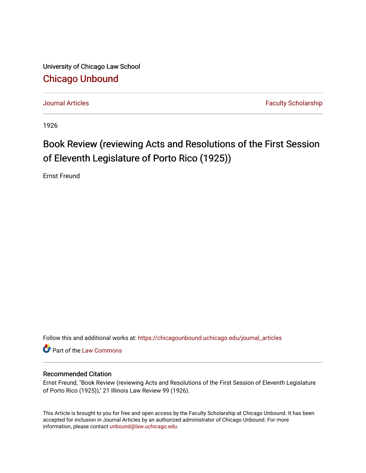University of Chicago Law School [Chicago Unbound](https://chicagounbound.uchicago.edu/)

[Journal Articles](https://chicagounbound.uchicago.edu/journal_articles) **Faculty Scholarship Journal Articles** 

1926

## Book Review (reviewing Acts and Resolutions of the First Session of Eleventh Legislature of Porto Rico (1925))

Ernst Freund

Follow this and additional works at: [https://chicagounbound.uchicago.edu/journal\\_articles](https://chicagounbound.uchicago.edu/journal_articles?utm_source=chicagounbound.uchicago.edu%2Fjournal_articles%2F7793&utm_medium=PDF&utm_campaign=PDFCoverPages) 

Part of the [Law Commons](http://network.bepress.com/hgg/discipline/578?utm_source=chicagounbound.uchicago.edu%2Fjournal_articles%2F7793&utm_medium=PDF&utm_campaign=PDFCoverPages)

## Recommended Citation

Ernst Freund, "Book Review (reviewing Acts and Resolutions of the First Session of Eleventh Legislature of Porto Rico (1925))," 21 Illinois Law Review 99 (1926).

This Article is brought to you for free and open access by the Faculty Scholarship at Chicago Unbound. It has been accepted for inclusion in Journal Articles by an authorized administrator of Chicago Unbound. For more information, please contact [unbound@law.uchicago.edu](mailto:unbound@law.uchicago.edu).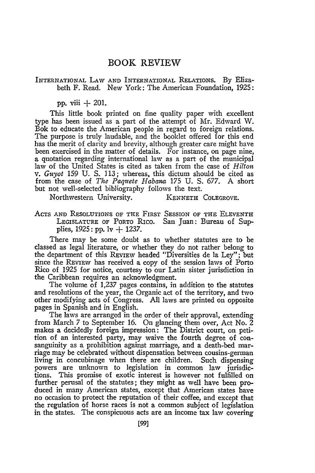## BOOK REVIEW

INTERNATIONAL LAW AND INTERNATIONAL RELATIONS. By Elizabeth F. Read. New York: The American Foundation, 1925:

pp. viii **+** 201.

This little book printed on fine quality paper with excellent type has been issued as a part of the attempt of Mr. Edward W. Bok to educate the American people in regard to foreign relations. The purpose is truly laudable, and the booklet offered for this end has the merit of clarity and brevity, although greater care might have been exercised in the matter of details. For instance, on page nine, a quotation regarding international law as a part of the municipal law of the United States is cited as taken from the case of *Hilton v. Guyot* 159 U. S. 113; whereas, this dictum should be cited as from the case of *The Paquete Habana* 175 U. S. 677. A short but not well-selected bibliography follows the text.

Northwestern University. KENNETH COLEGROVE.

ACTS AND RESOLUTIONS OF THE FIRST SESSION OF THE ELEVENTH LEGISLATURE OF PORTO Rico. San Juan: Bureau of Supplies, 1925: pp. lv **+** 1237.

There may be some doubt as to whether statutes are to be classed as legal literature, or whether they do not rather belong to the department of this REVIEW headed "Diversities de la Ley"; but since the REVIEW has received a copy of the session laws of Porto Rico of 1925 for notice, courtesy to our Latin sister jurisdiction in the Caribbean requires an acknowledgment.

The volume of 1,237 pages contains, in addition to the statutes and resolutions of the year, the Organic act of the territory, and two other modifying acts of Congress. All laws are printed on opposite pages in Spanish and in English.

The laws are arranged in the order of their approval, extending from March 7 to September 16. On glancing them over, Act No. 2 makes a decidedly foreign impression: The District court, on petition of an interested party, may waive the fourth degree of consanguinity as a prohibition against marriage, and a death-bed marriage may be celebrated without dispensation between cousins-german living in concubinage when there are children. Such dispensing powers are unknown to legislation in common law jurisdictions. This promise of exotic interest is however not fulfilled on further perusal of the statutes; they might as well have been produced in many American states, except that American states have no occasion to protect the reputation of their coffee, and except that the regulation of horse races is not a common subject of legislation in the states. The conspicuous acts are an income tax law covering